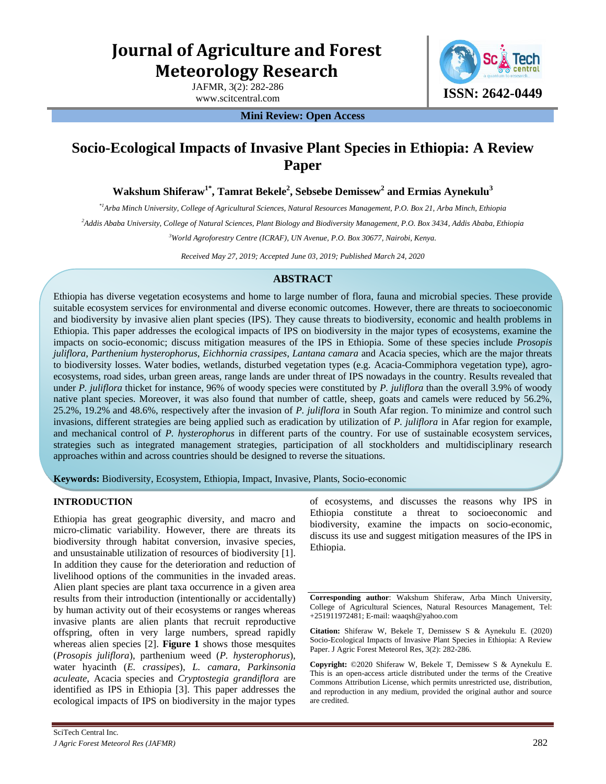# **Journal of Agriculture and Forest Meteorology Research**

JAFMR, 3(2): 282-286



**Mini Review: Open Access** 

## **Socio-Ecological Impacts of Invasive Plant Species in Ethiopia: A Review Paper**

**Wakshum Shiferaw1\*, Tamrat Bekele<sup>2</sup> , Sebsebe Demissew<sup>2</sup> and Ermias Aynekulu<sup>3</sup>**

*\*1Arba Minch University, College of Agricultural Sciences, Natural Resources Management, P.O. Box 21, Arba Minch, Ethiopia* 

*<sup>2</sup>Addis Ababa University, College of Natural Sciences, Plant Biology and Biodiversity Management, P.O. Box 3434, Addis Ababa, Ethiopia* 

*<sup>3</sup>World Agroforestry Centre (ICRAF), UN Avenue, P.O. Box 30677, Nairobi, Kenya.*

*Received May 27, 2019; Accepted June 03, 2019; Published March 24, 2020*

### **ABSTRACT**

Ethiopia has diverse vegetation ecosystems and home to large number of flora, fauna and microbial species. These provide suitable ecosystem services for environmental and diverse economic outcomes. However, there are threats to socioeconomic and biodiversity by invasive alien plant species (IPS). They cause threats to biodiversity, economic and health problems in Ethiopia. This paper addresses the ecological impacts of IPS on biodiversity in the major types of ecosystems, examine the impacts on socio-economic; discuss mitigation measures of the IPS in Ethiopia. Some of these species include *Prosopis juliflora*, *Parthenium hysterophorus*, *Eichhornia crassipes*, *Lantana camara* and Acacia species, which are the major threats to biodiversity losses. Water bodies, wetlands, disturbed vegetation types (e.g. Acacia-Commiphora vegetation type), agroecosystems, road sides, urban green areas, range lands are under threat of IPS nowadays in the country. Results revealed that under *P. juliflora* thicket for instance, 96% of woody species were constituted by *P. juliflora* than the overall 3.9% of woody native plant species. Moreover, it was also found that number of cattle, sheep, goats and camels were reduced by 56.2%, 25.2%, 19.2% and 48.6%, respectively after the invasion of *P. juliflora* in South Afar region. To minimize and control such invasions, different strategies are being applied such as eradication by utilization of *P. juliflora* in Afar region for example, and mechanical control of *P. hysterophorus* in different parts of the country. For use of sustainable ecosystem services, strategies such as integrated management strategies, participation of all stockholders and multidisciplinary research approaches within and across countries should be designed to reverse the situations.

**Keywords:** Biodiversity, Ecosystem, Ethiopia, Impact, Invasive, Plants, Socio-economic

#### **INTRODUCTION**

Ethiopia has great geographic diversity, and macro and micro-climatic variability. However, there are threats its biodiversity through habitat conversion, invasive species, and unsustainable utilization of resources of biodiversity [1]. In addition they cause for the deterioration and reduction of livelihood options of the communities in the invaded areas. Alien plant species are plant taxa occurrence in a given area results from their introduction (intentionally or accidentally) by human activity out of their ecosystems or ranges whereas invasive plants are alien plants that recruit reproductive offspring, often in very large numbers, spread rapidly whereas alien species [2]. **Figure 1** shows those mesquites (*Prosopis juliflora*), parthenium weed (*P. hysterophorus*), water hyacinth (*E. crassipes*), *L. camara*, *Parkinsonia aculeate*, Acacia species and *Cryptostegia grandiflora* are identified as IPS in Ethiopia [3]. This paper addresses the ecological impacts of IPS on biodiversity in the major types of ecosystems, and discusses the reasons why IPS in Ethiopia constitute a threat to socioeconomic and biodiversity, examine the impacts on socio-economic, discuss its use and suggest mitigation measures of the IPS in Ethiopia.

**Corresponding author**: Wakshum Shiferaw, Arba Minch University, College of Agricultural Sciences, Natural Resources Management, Tel: +251911972481; E-mail: waaqsh@yahoo.com

**Citation:** Shiferaw W, Bekele T, Demissew S & Aynekulu E. (2020) Socio-Ecological Impacts of Invasive Plant Species in Ethiopia: A Review Paper. J Agric Forest Meteorol Res, 3(2): 282-286.

**Copyright:** ©2020 Shiferaw W, Bekele T, Demissew S & Aynekulu E. This is an open-access article distributed under the terms of the Creative Commons Attribution License, which permits unrestricted use, distribution, and reproduction in any medium, provided the original author and source are credited.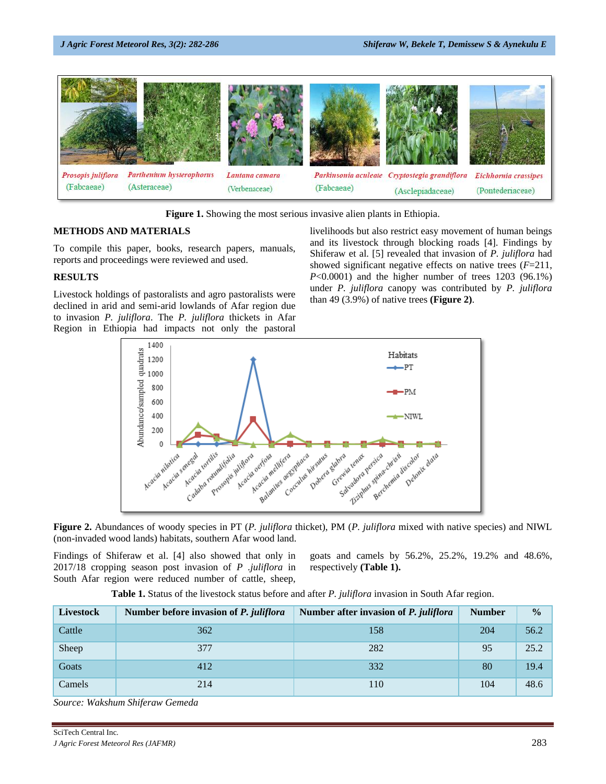

**Figure 1.** Showing the most serious invasive alien plants in Ethiopia.

#### **METHODS AND MATERIALS**

To compile this paper, books, research papers, manuals, reports and proceedings were reviewed and used.

#### **RESULTS**

Livestock holdings of pastoralists and agro pastoralists were declined in arid and semi-arid lowlands of Afar region due to invasion *P. juliflora*. The *P. juliflora* thickets in Afar Region in Ethiopia had impacts not only the pastoral

livelihoods but also restrict easy movement of human beings and its livestock through blocking roads [4]. Findings by Shiferaw et al. [5] revealed that invasion of *P. juliflora* had showed significant negative effects on native trees (*F*=211, *P*<0.0001) and the higher number of trees 1203 (96.1%) under *P. juliflora* canopy was contributed by *P. juliflora* than 49 (3.9%) of native trees **(Figure 2)**.



**Figure 2.** Abundances of woody species in PT (*P. juliflora* thicket), PM (*P. juliflora* mixed with native species) and NIWL (non-invaded wood lands) habitats, southern Afar wood land.

Findings of Shiferaw et al. [4] also showed that only in 2017/18 cropping season post invasion of *P .juliflora* in South Afar region were reduced number of cattle, sheep,

goats and camels by 56.2%, 25.2%, 19.2% and 48.6%, respectively **(Table 1).** 

**Table 1.** Status of the livestock status before and after *P. juliflora* invasion in South Afar region.

| Livestock | Number before invasion of P. juliflora | Number after invasion of P. juliflora | <b>Number</b> | $\frac{0}{0}$ |
|-----------|----------------------------------------|---------------------------------------|---------------|---------------|
| Cattle    | 362                                    | 158                                   | 204           | 56.2          |
| Sheep     | 377                                    | 282                                   | 95            | 25.2          |
| Goats     | 412                                    | 332                                   | 80            | 19.4          |
| Camels    | 214                                    | 110                                   | 104           | 48.6          |

*Source: Wakshum Shiferaw Gemeda*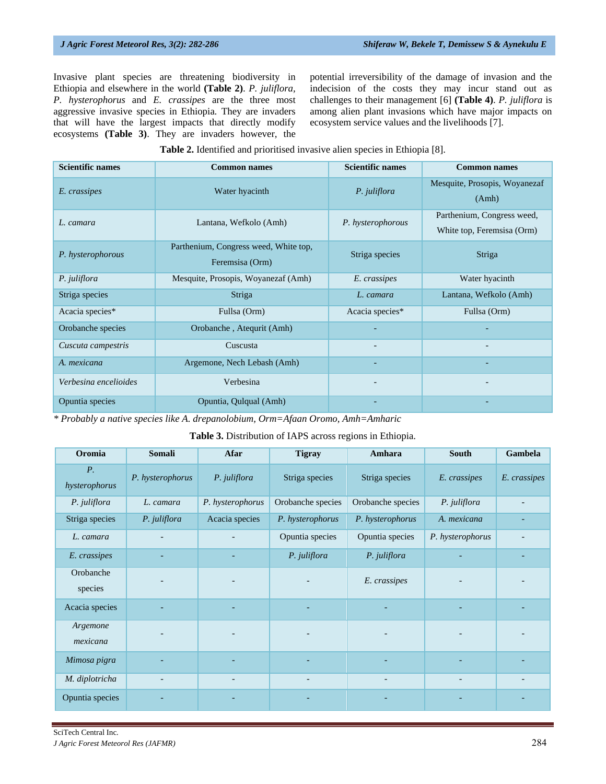Invasive plant species are threatening biodiversity in Ethiopia and elsewhere in the world **(Table 2)**. *P. juliflora, P. hysterophorus* and *E. crassipes* are the three most aggressive invasive species in Ethiopia*.* They are invaders that will have the largest impacts that directly modify ecosystems **(Table 3)**. They are invaders however, the potential irreversibility of the damage of invasion and the indecision of the costs they may incur stand out as challenges to their management [6] **(Table 4)**. *P. juliflora* is among alien plant invasions which have major impacts on ecosystem service values and the livelihoods [7].

| Table 2. Identified and prioritised invasive alien species in Ethiopia [8]. |  |  |  |  |  |  |  |  |
|-----------------------------------------------------------------------------|--|--|--|--|--|--|--|--|
|-----------------------------------------------------------------------------|--|--|--|--|--|--|--|--|

| <b>Scientific names</b> | <b>Common names</b>                                      | <b>Scientific names</b>  | <b>Common names</b>                                      |  |
|-------------------------|----------------------------------------------------------|--------------------------|----------------------------------------------------------|--|
| E. crassipes            | Water hyacinth                                           | P. juliflora             | Mesquite, Prosopis, Woyanezaf<br>(Amh)                   |  |
| L. camara               | Lantana, Wefkolo (Amh)                                   | P. hysterophorous        | Parthenium, Congress weed,<br>White top, Feremsisa (Orm) |  |
| P. hysterophorous       | Parthenium, Congress weed, White top,<br>Feremsisa (Orm) | Striga species           | Striga                                                   |  |
| P. juliflora            | Mesquite, Prosopis, Woyanezaf (Amh)                      | E. crassipes             | Water hyacinth                                           |  |
| Striga species          | Striga                                                   | L. camara                | Lantana, Wefkolo (Amh)                                   |  |
| Acacia species*         | Fullsa (Orm)                                             | Acacia species*          | Fullsa (Orm)                                             |  |
| Orobanche species       | Orobanche, Atequrit (Amh)                                |                          |                                                          |  |
| Cuscuta campestris      | Cuscusta                                                 |                          |                                                          |  |
| A. mexicana             | Argemone, Nech Lebash (Amh)                              |                          |                                                          |  |
| Verbesina encelioides   | Verbesina                                                | $\overline{\phantom{0}}$ | $\overline{\phantom{a}}$                                 |  |
| Opuntia species         | Opuntia, Qulqual (Amh)                                   |                          |                                                          |  |

*\* Probably a native species like A. drepanolobium, Orm=Afaan Oromo, Amh=Amharic*

#### **Table 3.** Distribution of IAPS across regions in Ethiopia.

| Oromia                       | <b>Somali</b>            | <b>Afar</b>      | <b>Tigray</b>                | Amhara            | <b>South</b>             | Gambela      |
|------------------------------|--------------------------|------------------|------------------------------|-------------------|--------------------------|--------------|
| $P_{\cdot}$<br>hysterophorus | P. hysterophorus         | P. juliflora     | Striga species               | Striga species    | E. crassipes             | E. crassipes |
| P. juliflora                 | L. camara                | P. hysterophorus | Orobanche species            | Orobanche species | P. juliflora             |              |
| Striga species               | P. juliflora             | Acacia species   | P. hysterophorus             | P. hysterophorus  | A. mexicana              |              |
| L. camara                    |                          |                  | Opuntia species              | Opuntia species   | P. hysterophorus         |              |
| E. crassipes                 |                          |                  | P. juliflora                 | P. juliflora      |                          |              |
| Orobanche<br>species         |                          |                  |                              | E. crassipes      |                          |              |
| Acacia species               |                          |                  |                              |                   |                          |              |
| Argemone<br>mexicana         |                          |                  |                              |                   |                          |              |
| Mimosa pigra                 |                          |                  |                              |                   |                          |              |
| M. diplotricha               | $\overline{\phantom{a}}$ |                  | $\qquad \qquad \blacksquare$ |                   | $\overline{\phantom{a}}$ |              |
| Opuntia species              |                          |                  |                              |                   |                          |              |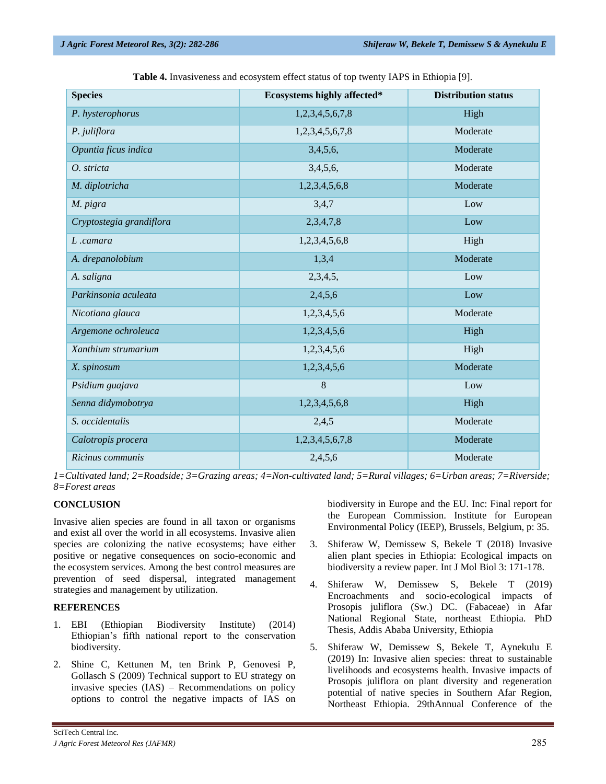| <b>Species</b>           | Ecosystems highly affected* | <b>Distribution status</b> |
|--------------------------|-----------------------------|----------------------------|
| P. hysterophorus         | 1,2,3,4,5,6,7,8             | High                       |
| P. juliflora             | 1,2,3,4,5,6,7,8             | Moderate                   |
| Opuntia ficus indica     | 3,4,5,6,                    | Moderate                   |
| O. stricta               | 3,4,5,6,                    | Moderate                   |
| M. diplotricha           | 1,2,3,4,5,6,8               | Moderate                   |
| M. pigra                 | 3,4,7                       | Low                        |
| Cryptostegia grandiflora | 2,3,4,7,8                   | Low                        |
| L.camara                 | 1,2,3,4,5,6,8               | High                       |
| A. drepanolobium         | 1,3,4                       | Moderate                   |
| A. saligna               | 2,3,4,5,                    | Low                        |
| Parkinsonia aculeata     | 2,4,5,6                     | Low                        |
| Nicotiana glauca         | 1,2,3,4,5,6                 | Moderate                   |
| Argemone ochroleuca      | 1,2,3,4,5,6                 | High                       |
| Xanthium strumarium      | 1,2,3,4,5,6                 | High                       |
| X. spinosum              | 1,2,3,4,5,6                 | Moderate                   |
| Psidium guajava          | 8                           | Low                        |
| Senna didymobotrya       | 1,2,3,4,5,6,8               | High                       |
| S. occidentalis          | 2,4,5                       | Moderate                   |
| Calotropis procera       | 1,2,3,4,5,6,7,8             | Moderate                   |
| Ricinus communis         | 2,4,5,6                     | Moderate                   |

**Table 4.** Invasiveness and ecosystem effect status of top twenty IAPS in Ethiopia [9].

*1=Cultivated land; 2=Roadside; 3=Grazing areas; 4=Non-cultivated land; 5=Rural villages; 6=Urban areas; 7=Riverside; 8=Forest areas* 

#### **CONCLUSION**

Invasive alien species are found in all taxon or organisms and exist all over the world in all ecosystems. Invasive alien species are colonizing the native ecosystems; have either positive or negative consequences on socio-economic and the ecosystem services. Among the best control measures are prevention of seed dispersal, integrated management strategies and management by utilization.

#### **REFERENCES**

- 1. EBI (Ethiopian Biodiversity Institute) (2014) Ethiopian's fifth national report to the conservation biodiversity.
- 2. Shine C, Kettunen M, ten Brink P, Genovesi P, Gollasch S (2009) Technical support to EU strategy on invasive species (IAS) – Recommendations on policy options to control the negative impacts of IAS on

biodiversity in Europe and the EU. Inc: Final report for the European Commission. Institute for European Environmental Policy (IEEP), Brussels, Belgium, p: 35.

- 3. Shiferaw W, Demissew S, Bekele T (2018) Invasive alien plant species in Ethiopia: Ecological impacts on biodiversity a review paper. Int J Mol Biol 3: 171-178.
- 4. Shiferaw W, Demissew S, Bekele T (2019) Encroachments and socio-ecological impacts of Prosopis juliflora (Sw.) DC. (Fabaceae) in Afar National Regional State, northeast Ethiopia. PhD Thesis, Addis Ababa University, Ethiopia
- 5. Shiferaw W, Demissew S, Bekele T, Aynekulu E (2019) In: Invasive alien species: threat to sustainable livelihoods and ecosystems health. Invasive impacts of Prosopis juliflora on plant diversity and regeneration potential of native species in Southern Afar Region, Northeast Ethiopia. 29thAnnual Conference of the